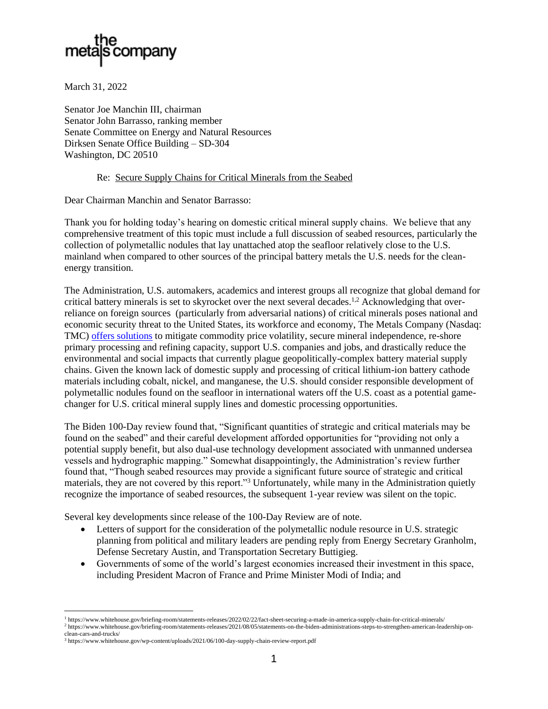

March 31, 2022

Senator Joe Manchin III, chairman Senator John Barrasso, ranking member Senate Committee on Energy and Natural Resources Dirksen Senate Office Building – SD-304 Washington, DC 20510

## Re: Secure Supply Chains for Critical Minerals from the Seabed

Dear Chairman Manchin and Senator Barrasso:

Thank you for holding today's hearing on domestic critical mineral supply chains. We believe that any comprehensive treatment of this topic must include a full discussion of seabed resources, particularly the collection of polymetallic nodules that lay unattached atop the seafloor relatively close to the U.S. mainland when compared to other sources of the principal battery metals the U.S. needs for the cleanenergy transition.

The Administration, U.S. automakers, academics and interest groups all recognize that global demand for critical battery minerals is set to skyrocket over the next several decades.<sup>1,2</sup> Acknowledging that overreliance on foreign sources (particularly from adversarial nations) of critical minerals poses national and economic security threat to the United States, its workforce and economy, The Metals Company (Nasdaq: TMC) [offers solutions](https://vimeo.com/693667097/cd05460a74) to mitigate commodity price volatility, secure mineral independence, re-shore primary processing and refining capacity, support U.S. companies and jobs, and drastically reduce the environmental and social impacts that currently plague geopolitically-complex battery material supply chains. Given the known lack of domestic supply and processing of critical lithium-ion battery cathode materials including cobalt, nickel, and manganese, the U.S. should consider responsible development of polymetallic nodules found on the seafloor in international waters off the U.S. coast as a potential gamechanger for U.S. critical mineral supply lines and domestic processing opportunities.

The Biden 100-Day review found that, "Significant quantities of strategic and critical materials may be found on the seabed" and their careful development afforded opportunities for "providing not only a potential supply benefit, but also dual-use technology development associated with unmanned undersea vessels and hydrographic mapping." Somewhat disappointingly, the Administration's review further found that, "Though seabed resources may provide a significant future source of strategic and critical materials, they are not covered by this report."<sup>3</sup> Unfortunately, while many in the Administration quietly recognize the importance of seabed resources, the subsequent 1-year review was silent on the topic.

Several key developments since release of the 100-Day Review are of note.

- Letters of support for the consideration of the polymetallic nodule resource in U.S. strategic planning from political and military leaders are pending reply from Energy Secretary Granholm, Defense Secretary Austin, and Transportation Secretary Buttigieg.
- Governments of some of the world's largest economies increased their investment in this space, including President Macron of France and Prime Minister Modi of India; and

<sup>1</sup> https://www.whitehouse.gov/briefing-room/statements-releases/2022/02/22/fact-sheet-securing-a-made-in-america-supply-chain-for-critical-minerals/

<sup>2</sup> https://www.whitehouse.gov/briefing-room/statements-releases/2021/08/05/statements-on-the-biden-administrations-steps-to-strengthen-american-leadership-onclean-cars-and-trucks/

<sup>3</sup> https://www.whitehouse.gov/wp-content/uploads/2021/06/100-day-supply-chain-review-report.pdf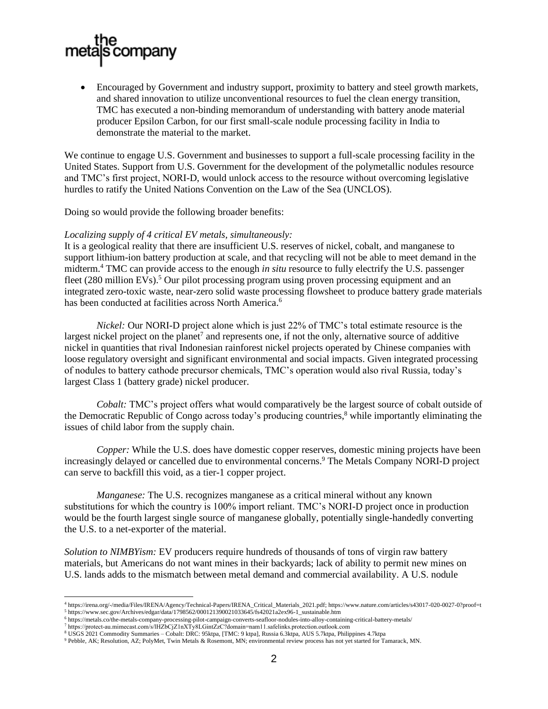

• Encouraged by Government and industry support, proximity to battery and steel growth markets, and shared innovation to utilize unconventional resources to fuel the clean energy transition, TMC has executed a non-binding memorandum of understanding with battery anode material producer Epsilon Carbon, for our first small-scale nodule processing facility in India to demonstrate the material to the market.

We continue to engage U.S. Government and businesses to support a full-scale processing facility in the United States. Support from U.S. Government for the development of the polymetallic nodules resource and TMC's first project, NORI-D, would unlock access to the resource without overcoming legislative hurdles to ratify the United Nations Convention on the Law of the Sea (UNCLOS).

Doing so would provide the following broader benefits:

## *Localizing supply of 4 critical EV metals, simultaneously:*

It is a geological reality that there are insufficient U.S. reserves of nickel, cobalt, and manganese to support lithium-ion battery production at scale, and that recycling will not be able to meet demand in the midterm.<sup>4</sup> TMC can provide access to the enough *in situ* resource to fully electrify the U.S. passenger fleet (280 million EVs).<sup>5</sup> Our pilot processing program using proven processing equipment and an integrated zero-toxic waste, near-zero solid waste processing flowsheet to produce battery grade materials has been conducted at facilities across North America.<sup>6</sup>

*Nickel:* Our NORI-D project alone which is just 22% of TMC's total estimate resource is the largest nickel project on the planet<sup>7</sup> and represents one, if not the only, alternative source of additive nickel in quantities that rival Indonesian rainforest nickel projects operated by Chinese companies with loose regulatory oversight and significant environmental and social impacts. Given integrated processing of nodules to battery cathode precursor chemicals, TMC's operation would also rival Russia, today's largest Class 1 (battery grade) nickel producer.

*Cobalt:* TMC's project offers what would comparatively be the largest source of cobalt outside of the Democratic Republic of Congo across today's producing countries, <sup>8</sup> while importantly eliminating the issues of child labor from the supply chain.

*Copper:* While the U.S. does have domestic copper reserves, domestic mining projects have been increasingly delayed or cancelled due to environmental concerns.<sup>9</sup> The Metals Company NORI-D project can serve to backfill this void, as a tier-1 copper project.

*Manganese:* The U.S. recognizes manganese as a critical mineral without any known substitutions for which the country is 100% import reliant. TMC's NORI-D project once in production would be the fourth largest single source of manganese globally, potentially single-handedly converting the U.S. to a net-exporter of the material.

*Solution to NIMBYism:* EV producers require hundreds of thousands of tons of virgin raw battery materials, but Americans do not want mines in their backyards; lack of ability to permit new mines on U.S. lands adds to the mismatch between metal demand and commercial availability. A U.S. nodule

<sup>4</sup> https://irena.org/-/media/Files/IRENA/Agency/Technical-Papers/IRENA\_Critical\_Materials\_2021.pdf; https://www.nature.com/articles/s43017-020-0027-0?proof=t

<sup>5</sup> https://www.sec.gov/Archives/edgar/data/1798562/000121390021033645/fs42021a2ex96-1\_sustainable.htm

<sup>6</sup> https://metals.co/the-metals-company-processing-pilot-campaign-converts-seafloor-nodules-into-alloy-containing-critical-battery-metals/

<sup>7</sup> https://protect-au.mimecast.com/s/lHZbCjZ1nXTy8LGintZzC?domain=nam11.safelinks.protection.outlook.com <sup>8</sup> USGS 2021 Commodity Summaries – Cobalt: DRC: 95ktpa, [TMC: 9 ktpa], Russia 6.3ktpa, AUS 5.7ktpa, Philippines 4.7ktpa

<sup>9</sup> Pebble, AK; Resolution, AZ; PolyMet, Twin Metals & Rosemont, MN; environmental review process has not yet started for Tamarack, MN.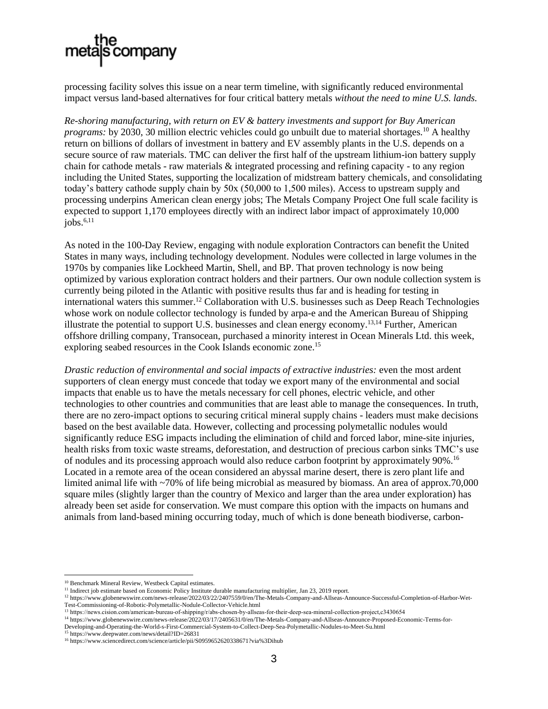

processing facility solves this issue on a near term timeline, with significantly reduced environmental impact versus land-based alternatives for four critical battery metals *without the need to mine U.S. lands.*

*Re-shoring manufacturing, with return on EV & battery investments and support for Buy American programs:* by 2030, 30 million electric vehicles could go unbuilt due to material shortages.<sup>10</sup> A healthy return on billions of dollars of investment in battery and EV assembly plants in the U.S. depends on a secure source of raw materials. TMC can deliver the first half of the upstream lithium-ion battery supply chain for cathode metals - raw materials & integrated processing and refining capacity - to any region including the United States, supporting the localization of midstream battery chemicals, and consolidating today's battery cathode supply chain by 50x (50,000 to 1,500 miles). Access to upstream supply and processing underpins American clean energy jobs; The Metals Company Project One full scale facility is expected to support 1,170 employees directly with an indirect labor impact of approximately 10,000  $i$ obs.<sup>6,11</sup>

As noted in the 100-Day Review, engaging with nodule exploration Contractors can benefit the United States in many ways, including technology development. Nodules were collected in large volumes in the 1970s by companies like Lockheed Martin, Shell, and BP. That proven technology is now being optimized by various exploration contract holders and their partners. Our own nodule collection system is currently being piloted in the Atlantic with positive results thus far and is heading for testing in international waters this summer.<sup>12</sup> Collaboration with U.S. businesses such as Deep Reach Technologies whose work on nodule collector technology is funded by arpa-e and the American Bureau of Shipping illustrate the potential to support U.S. businesses and clean energy economy.13,14 Further, American offshore drilling company, Transocean, purchased a minority interest in Ocean Minerals Ltd. this week, exploring seabed resources in the Cook Islands economic zone.<sup>15</sup>

*Drastic reduction of environmental and social impacts of extractive industries:* even the most ardent supporters of clean energy must concede that today we export many of the environmental and social impacts that enable us to have the metals necessary for cell phones, electric vehicle, and other technologies to other countries and communities that are least able to manage the consequences. In truth, there are no zero-impact options to securing critical mineral supply chains - leaders must make decisions based on the best available data. However, collecting and processing polymetallic nodules would significantly reduce ESG impacts including the elimination of child and forced labor, mine-site injuries, health risks from toxic waste streams, deforestation, and destruction of precious carbon sinks TMC's use of nodules and its processing approach would also reduce carbon footprint by approximately 90%.<sup>16</sup> Located in a remote area of the ocean considered an abyssal marine desert, there is zero plant life and limited animal life with ~70% of life being microbial as measured by biomass. An area of approx.70,000 square miles (slightly larger than the country of Mexico and larger than the area under exploration) has already been set aside for conservation. We must compare this option with the impacts on humans and animals from land-based mining occurring today, much of which is done beneath biodiverse, carbon-

<sup>10</sup> Benchmark Mineral Review, Westbeck Capital estimates.

<sup>&</sup>lt;sup>11</sup> Indirect job estimate based on Economic Policy Institute durable manufacturing multiplier, Jan 23, 2019 report.

<sup>12</sup> https://www.globenewswire.com/news-release/2022/03/22/2407559/0/en/The-Metals-Company-and-Allseas-Announce-Successful-Completion-of-Harbor-Wet-Test-Commissioning-of-Robotic-Polymetallic-Nodule-Collector-Vehicle.html

<sup>13</sup> https://news.cision.com/american-bureau-of-shipping/r/abs-chosen-by-allseas-for-their-deep-sea-mineral-collection-project,c3430654

<sup>&</sup>lt;sup>14</sup> https://www.globenewswire.com/news-release/2022/03/17/2405631/0/en/The-Metals-Company-and-Allseas-Announce-Proposed-Economic-Terms-for-Developing-and-Operating-the-World-s-First-Commercial-System-to-Collect-Deep-Sea-Polymetallic-Nodules-to-Meet-Su.html

<sup>&</sup>lt;sup>15</sup> https://www.deepwater.com/news/detail?ID=26831

<sup>16</sup> https://www.sciencedirect.com/science/article/pii/S0959652620338671?via%3Dihub